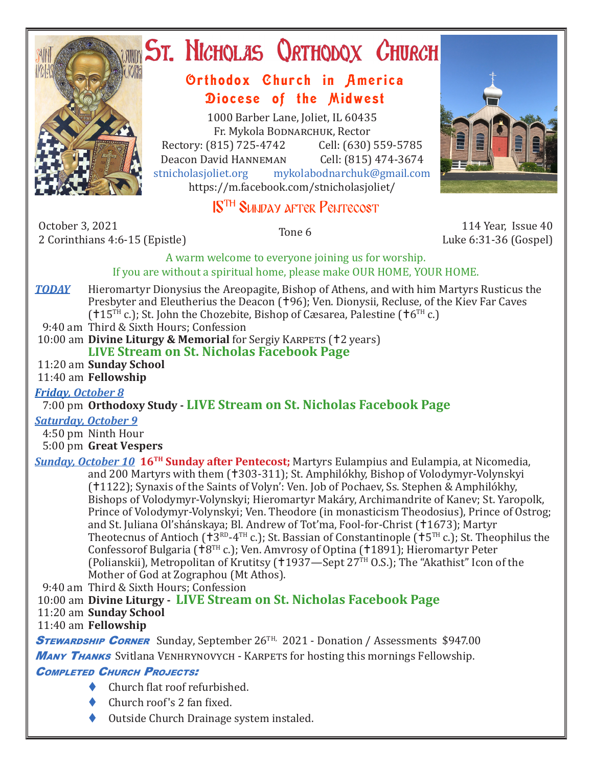

# ST. NICHOLAS QRTHODOX CHURCH

## Orthodox Church in America Diocese of the Midwest

1000 Barber Lane, Joliet, IL 60435 Fr. Mykola Bodnarchuk, Rector Rectory: (815) 725-4742 Cell: (630) 559-5785<br>Deacon David HANNEMAN Cell: (815) 474-3674 Deacon David Hanneman<br>stnicholasioliet.org mykola mykolabodnarchuk@gmail.com https://m.facebook.com/stnicholasjoliet/

## 15TH Sunday after Pentecost

October 3, 2021 0ctober 3, 2021 114 Year, Issue 40<br>2 Corinthians 4:6-15 (Epistle) 12 Corinthians 4:6-15 (Epistle)

Luke 6:31-36 (Gospel)

A warm welcome to everyone joining us for worship. If you are without a spiritual home, please make OUR HOME, YOUR HOME.

**TODAY** Hieromartyr Dionysius the Areopagite, Bishop of Athens, and with him Martyrs Rusticus the Presbyter and Eleutherius the Deacon (†96); Ven. Dionysii, Recluse, of the Kiev Far Caves

 $(15^{TH} c)$ ; St. John the Chozebite, Bishop of Cæsarea, Palestine ( $16^{TH} c$ .)

9:40 am Third & Sixth Hours; Confession

10:00 am **Divine Liturgy & Memorial** for Sergiy KARPETS (†2 years) **LIVE Stream on St. Nicholas Facebook Page**

### 11:20 am **Sunday School**

11:40 am **Fellowship**

#### *Friday, October 8*

### 7:00 pm **Orthodoxy Study - LIVE Stream on St. Nicholas Facebook Page**

#### *Saturday, October 9*

4:50 pm Ninth Hour

5:00 pm **Great Vespers**

*Sunday, October 10* **16TH Sunday after Pentecost;** Martyrs Eulampius and Eulampia, at Nicomedia, and 200 Martyrs with them (†303-311); St. Amphilókhy, Bishop of Volodymyr-Volynskyi (†1122); Synaxis of the Saints of Volyn': Ven. Job of Pochaev, Ss. Stephen & Amphilókhy, Bishops of Volodymyr-Volynskyi; Hieromartyr Makáry, Archimandrite of Kanev; St. Yaropolk, Prince of Volodymyr-Volynskyi; Ven. Theodore (in monasticism Theodosius), Prince of Ostrog; and St. Juliana Ol'shánskaya; Bl. Andrew of Tot'ma, Fool-for-Christ (†1673); Martyr Theotecnus of Antioch ( $\dot{z}^{RD}$ -4<sup>TH</sup> c.); St. Bassian of Constantinople ( $\dot{z}^{TR}$  c.); St. Theophilus the Confessorof Bulgaria ( $\dot{B}^{TH}$  c.); Ven. Amvrosy of Optina ( $\dot{B}^{TH}$ ); Hieromartyr Peter (Polianskii), Metropolitan of Krutitsy ( $1937$ —Sept 27TH O.S.); The "Akathist" Icon of the Mother of God at Zographou (Mt Athos).

9:40 am Third & Sixth Hours; Confession

10:00 am **Divine Liturgy - LIVE Stream on St. Nicholas Facebook Page**

#### 11:20 am **Sunday School**

#### 11:40 am **Fellowship**

**STEWARDSHIP CORNER** Sunday, September 26<sup>TH,</sup> 2021 - Donation / Assessments \$947.00 **MANY THANKS** Svitlana VENHRYNOVYCH - KARPETS for hosting this mornings Fellowship.

#### **COMPLETED CHURCH PROJECTS:**

- $\blacklozenge$  Church flat roof refurbished.
- Church roof's 2 fan fixed.
- Outside Church Drainage system instaled.